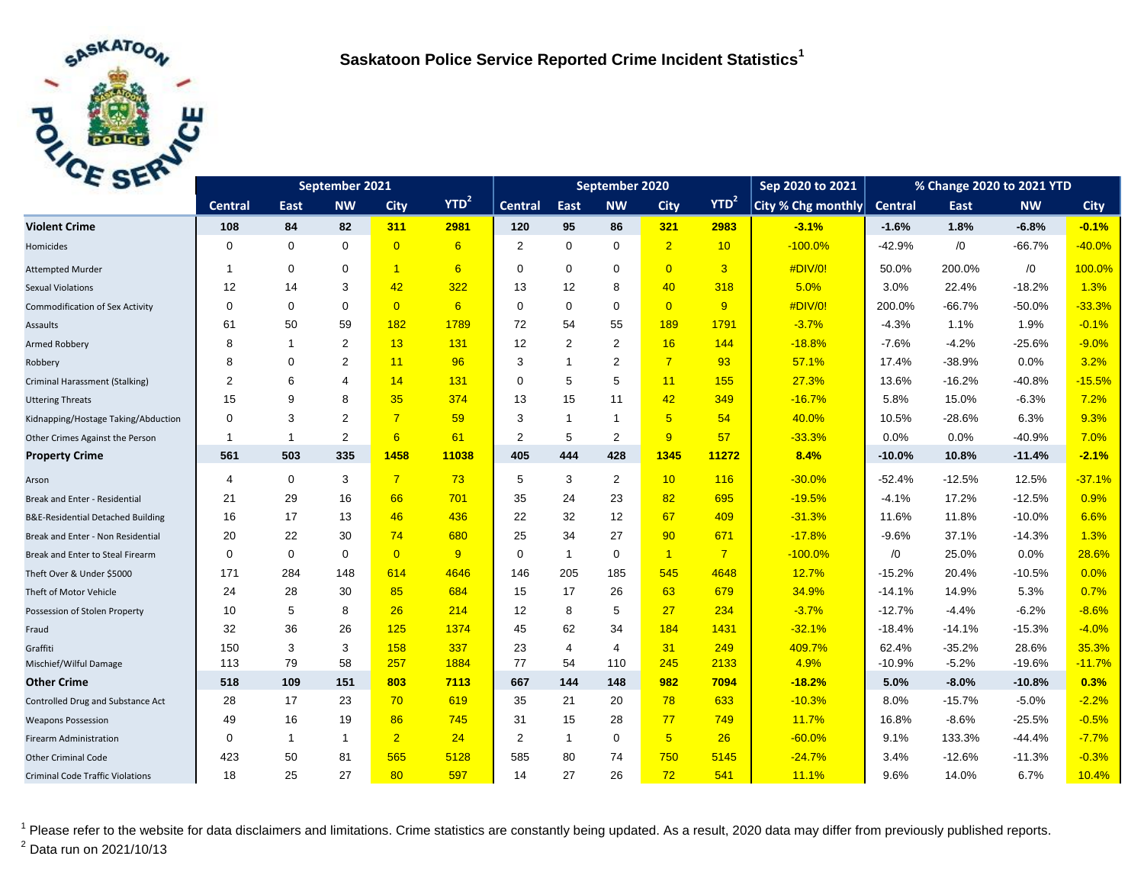

| C <sub>2F</sub>                         | September 2021 |              |                |                |         | September 2020 |                |                |                 |                  | Sep 2020 to 2021   | % Change 2020 to 2021 YTD |          |            |             |
|-----------------------------------------|----------------|--------------|----------------|----------------|---------|----------------|----------------|----------------|-----------------|------------------|--------------------|---------------------------|----------|------------|-------------|
|                                         | <b>Central</b> | East         | <b>NW</b>      | <b>City</b>    | $YTD^2$ | <b>Central</b> | East           | <b>NW</b>      | <b>City</b>     | YTD <sup>2</sup> | City % Chg monthly | <b>Central</b>            | East     | <b>NW</b>  | <b>City</b> |
| <b>Violent Crime</b>                    | 108            | 84           | 82             | 311            | 2981    | 120            | 95             | 86             | 321             | 2983             | $-3.1%$            | $-1.6%$                   | 1.8%     | $-6.8%$    | $-0.1%$     |
| Homicides                               | $\Omega$       | $\mathbf 0$  | $\mathbf 0$    | $\overline{0}$ | 6       | 2              | $\mathbf 0$    | $\mathbf 0$    | $\overline{2}$  | 10               | $-100.0%$          | $-42.9%$                  | /0       | $-66.7%$   | $-40.0%$    |
| <b>Attempted Murder</b>                 | 1              | $\mathbf 0$  | $\mathbf 0$    | $\overline{1}$ | 6       | $\Omega$       | $\mathbf 0$    | $\mathbf 0$    | $\overline{0}$  | $\overline{3}$   | #DIV/0!            | 50.0%                     | 200.0%   | $\sqrt{0}$ | 100.0%      |
| <b>Sexual Violations</b>                | 12             | 14           | 3              | 42             | 322     | 13             | 12             | 8              | 40              | 318              | 5.0%               | 3.0%                      | 22.4%    | $-18.2%$   | 1.3%        |
| <b>Commodification of Sex Activity</b>  | $\mathbf 0$    | $\mathbf 0$  | $\mathbf 0$    | $\overline{0}$ | 6       | 0              | $\mathbf 0$    | $\mathbf 0$    | $\overline{0}$  | $\overline{9}$   | #DIV/0!            | 200.0%                    | $-66.7%$ | $-50.0%$   | $-33.3%$    |
| Assaults                                | 61             | 50           | 59             | 182            | 1789    | 72             | 54             | 55             | 189             | 1791             | $-3.7%$            | $-4.3%$                   | 1.1%     | 1.9%       | $-0.1%$     |
| Armed Robbery                           | 8              | $\mathbf{1}$ | 2              | 13             | 131     | 12             | 2              | 2              | 16              | 144              | $-18.8%$           | $-7.6%$                   | $-4.2%$  | $-25.6%$   | $-9.0%$     |
| Robbery                                 | 8              | 0            | $\overline{2}$ | 11             | 96      | 3              | $\overline{1}$ | 2              | $\overline{7}$  | 93               | 57.1%              | 17.4%                     | $-38.9%$ | 0.0%       | 3.2%        |
| Criminal Harassment (Stalking)          | $\overline{2}$ | 6            | $\overline{4}$ | 14             | 131     | $\Omega$       | 5              | 5              | 11              | 155              | 27.3%              | 13.6%                     | $-16.2%$ | $-40.8%$   | $-15.5%$    |
| <b>Uttering Threats</b>                 | 15             | 9            | 8              | 35             | 374     | 13             | 15             | 11             | 42              | 349              | $-16.7%$           | 5.8%                      | 15.0%    | $-6.3%$    | 7.2%        |
| Kidnapping/Hostage Taking/Abduction     | $\mathbf 0$    | 3            | $\overline{2}$ | $\overline{7}$ | 59      | 3              | $\mathbf{1}$   | $\mathbf{1}$   | $5\overline{)}$ | 54               | 40.0%              | 10.5%                     | $-28.6%$ | 6.3%       | 9.3%        |
| Other Crimes Against the Person         | 1              | $\mathbf{1}$ | $\overline{2}$ | 6              | 61      | 2              | 5              | 2              | 9               | 57               | $-33.3%$           | 0.0%                      | 0.0%     | $-40.9%$   | 7.0%        |
| <b>Property Crime</b>                   | 561            | 503          | 335            | 1458           | 11038   | 405            | 444            | 428            | 1345            | 11272            | 8.4%               | $-10.0%$                  | 10.8%    | $-11.4%$   | $-2.1%$     |
| Arson                                   | 4              | $\mathbf 0$  | 3              | $\overline{7}$ | 73      | 5              | 3              | $\overline{2}$ | 10              | 116              | $-30.0%$           | $-52.4%$                  | $-12.5%$ | 12.5%      | $-37.1%$    |
| Break and Enter - Residential           | 21             | 29           | 16             | 66             | 701     | 35             | 24             | 23             | 82              | 695              | $-19.5%$           | $-4.1%$                   | 17.2%    | $-12.5%$   | 0.9%        |
| B&E-Residential Detached Building       | 16             | 17           | 13             | 46             | 436     | 22             | 32             | 12             | 67              | 409              | $-31.3%$           | 11.6%                     | 11.8%    | $-10.0%$   | 6.6%        |
| Break and Enter - Non Residential       | 20             | 22           | 30             | 74             | 680     | 25             | 34             | 27             | 90              | 671              | $-17.8%$           | $-9.6%$                   | 37.1%    | $-14.3%$   | 1.3%        |
| Break and Enter to Steal Firearm        | 0              | $\mathbf 0$  | $\mathbf 0$    | $\overline{0}$ | 9       | $\mathbf 0$    | $\mathbf{1}$   | $\mathbf 0$    | $\overline{1}$  | $\overline{7}$   | $-100.0%$          | /0                        | 25.0%    | 0.0%       | 28.6%       |
| Theft Over & Under \$5000               | 171            | 284          | 148            | 614            | 4646    | 146            | 205            | 185            | 545             | 4648             | 12.7%              | $-15.2%$                  | 20.4%    | $-10.5%$   | 0.0%        |
| Theft of Motor Vehicle                  | 24             | 28           | 30             | 85             | 684     | 15             | 17             | 26             | 63              | 679              | 34.9%              | $-14.1%$                  | 14.9%    | 5.3%       | 0.7%        |
| Possession of Stolen Property           | 10             | 5            | 8              | 26             | 214     | 12             | 8              | 5              | 27              | 234              | $-3.7%$            | $-12.7%$                  | $-4.4%$  | $-6.2%$    | $-8.6%$     |
| Fraud                                   | 32             | 36           | 26             | 125            | 1374    | 45             | 62             | 34             | 184             | 1431             | $-32.1%$           | $-18.4%$                  | $-14.1%$ | $-15.3%$   | $-4.0%$     |
| Graffiti                                | 150            | 3            | 3              | 158            | 337     | 23             | $\overline{4}$ | $\overline{4}$ | 31              | 249              | 409.7%             | 62.4%                     | $-35.2%$ | 28.6%      | 35.3%       |
| Mischief/Wilful Damage                  | 113            | 79           | 58             | 257            | 1884    | 77             | 54             | 110            | 245             | 2133             | 4.9%               | $-10.9%$                  | $-5.2%$  | $-19.6%$   | $-11.7%$    |
| <b>Other Crime</b>                      | 518            | 109          | 151            | 803            | 7113    | 667            | 144            | 148            | 982             | 7094             | $-18.2%$           | 5.0%                      | $-8.0%$  | $-10.8%$   | 0.3%        |
| Controlled Drug and Substance Act       | 28             | 17           | 23             | 70             | 619     | 35             | 21             | 20             | 78              | 633              | $-10.3%$           | 8.0%                      | $-15.7%$ | $-5.0%$    | $-2.2%$     |
| <b>Weapons Possession</b>               | 49             | 16           | 19             | 86             | 745     | 31             | 15             | 28             | 77              | 749              | 11.7%              | 16.8%                     | $-8.6%$  | $-25.5%$   | $-0.5%$     |
| <b>Firearm Administration</b>           | 0              | $\mathbf{1}$ | $\mathbf{1}$   | $\overline{2}$ | 24      | 2              | $\mathbf{1}$   | $\mathbf 0$    | 5 <sub>5</sub>  | 26               | $-60.0%$           | 9.1%                      | 133.3%   | -44.4%     | $-7.7%$     |
| <b>Other Criminal Code</b>              | 423            | 50           | 81             | 565            | 5128    | 585            | 80             | 74             | 750             | 5145             | $-24.7%$           | 3.4%                      | $-12.6%$ | $-11.3%$   | $-0.3%$     |
| <b>Criminal Code Traffic Violations</b> | 18             | 25           | 27             | 80             | 597     | 14             | 27             | 26             | 72              | 541              | 11.1%              | 9.6%                      | 14.0%    | 6.7%       | 10.4%       |

<sup>1</sup> Please refer to the website for data disclaimers and limitations. Crime statistics are constantly being updated. As a result, 2020 data may differ from previously published reports.  $^{2}$  Data run on 2021/10/13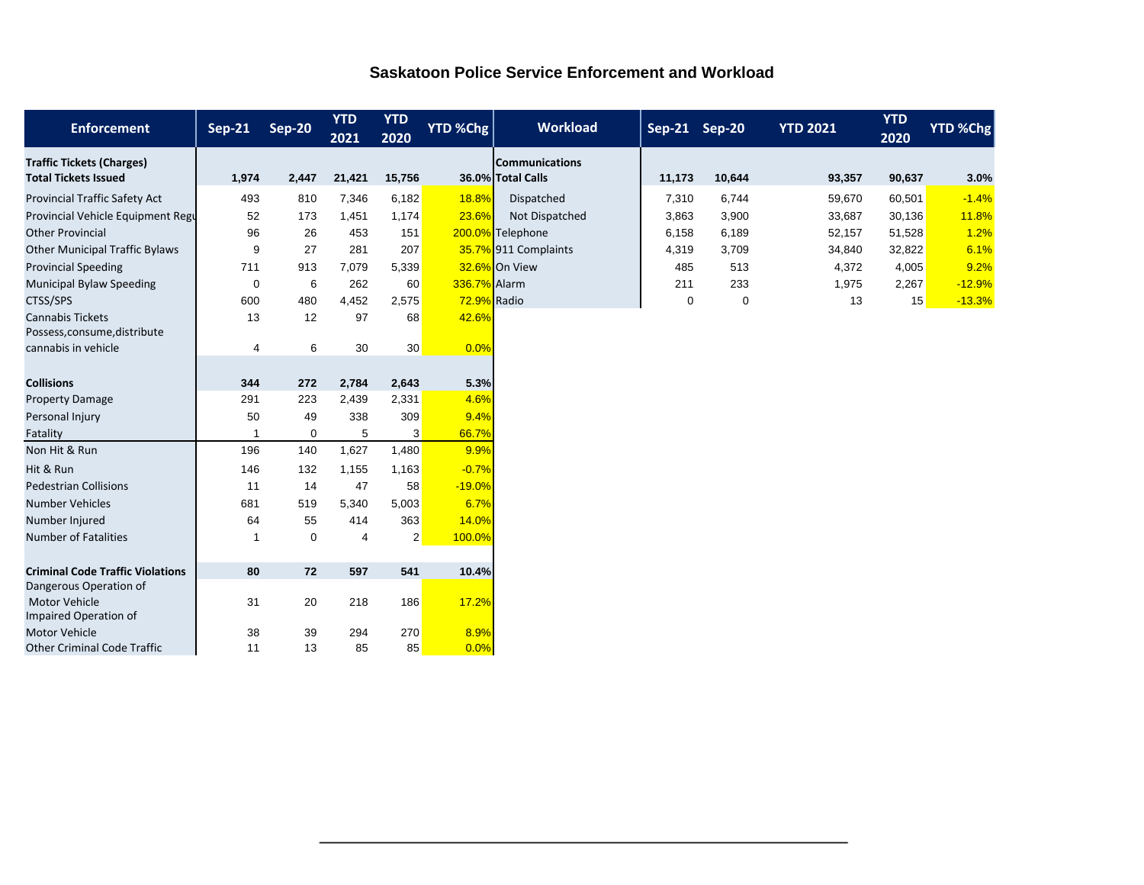| <b>Saskatoon Police Service Enforcement and Workload</b> |  |
|----------------------------------------------------------|--|
|                                                          |  |

| <b>Enforcement</b>                      | $Sep-21$    | <b>Sep-20</b> | <b>YTD</b><br>2021 | <b>YTD</b><br>2020 | <b>YTD %Chg</b> | <b>Workload</b>       | Sep-21 Sep-20 |        | <b>YTD 2021</b> | <b>YTD</b><br>2020 | YTD %Chg |
|-----------------------------------------|-------------|---------------|--------------------|--------------------|-----------------|-----------------------|---------------|--------|-----------------|--------------------|----------|
| <b>Traffic Tickets (Charges)</b>        |             |               |                    |                    |                 | <b>Communications</b> |               |        |                 |                    |          |
| <b>Total Tickets Issued</b>             | 1,974       | 2,447         | 21,421             | 15,756             |                 | 36.0% Total Calls     | 11,173        | 10,644 | 93,357          | 90,637             | 3.0%     |
| Provincial Traffic Safety Act           | 493         | 810           | 7,346              | 6,182              | 18.8%           | Dispatched            | 7,310         | 6,744  | 59,670          | 60,501             | $-1.4%$  |
| Provincial Vehicle Equipment Regu       | 52          | 173           | 1,451              | 1,174              | 23.6%           | Not Dispatched        | 3,863         | 3,900  | 33,687          | 30,136             | 11.8%    |
| <b>Other Provincial</b>                 | 96          | 26            | 453                | 151                |                 | 200.0% Telephone      | 6,158         | 6,189  | 52,157          | 51,528             | 1.2%     |
| <b>Other Municipal Traffic Bylaws</b>   | 9           | 27            | 281                | 207                |                 | 35.7% 911 Complaints  | 4,319         | 3,709  | 34,840          | 32,822             | 6.1%     |
| <b>Provincial Speeding</b>              | 711         | 913           | 7,079              | 5,339              |                 | 32.6% On View         | 485           | 513    | 4,372           | 4,005              | 9.2%     |
| <b>Municipal Bylaw Speeding</b>         | $\mathbf 0$ | 6             | 262                | 60                 | 336.7% Alarm    |                       | 211           | 233    | 1,975           | 2,267              | $-12.9%$ |
| CTSS/SPS                                | 600         | 480           | 4,452              | 2,575              | 72.9% Radio     |                       | 0             | 0      | 13              | 15                 | $-13.3%$ |
| <b>Cannabis Tickets</b>                 | 13          | 12            | 97                 | 68                 | 42.6%           |                       |               |        |                 |                    |          |
| Possess, consume, distribute            |             |               |                    |                    |                 |                       |               |        |                 |                    |          |
| cannabis in vehicle                     | 4           | 6             | 30                 | 30 <sup>°</sup>    | 0.0%            |                       |               |        |                 |                    |          |
|                                         |             |               |                    |                    |                 |                       |               |        |                 |                    |          |
| <b>Collisions</b>                       | 344         | 272           | 2,784              | 2,643              | 5.3%            |                       |               |        |                 |                    |          |
| <b>Property Damage</b>                  | 291         | 223           | 2,439              | 2,331              | 4.6%            |                       |               |        |                 |                    |          |
| Personal Injury                         | 50          | 49            | 338                | 309                | 9.4%            |                       |               |        |                 |                    |          |
| Fatality                                |             | 0             | 5                  | 3                  | 66.7%           |                       |               |        |                 |                    |          |
| Non Hit & Run                           | 196         | 140           | 1,627              | 1,480              | 9.9%            |                       |               |        |                 |                    |          |
| Hit & Run                               | 146         | 132           | 1,155              | 1,163              | $-0.7%$         |                       |               |        |                 |                    |          |
| <b>Pedestrian Collisions</b>            | 11          | 14            | 47                 | 58                 | $-19.0%$        |                       |               |        |                 |                    |          |
| <b>Number Vehicles</b>                  | 681         | 519           | 5,340              | 5,003              | 6.7%            |                       |               |        |                 |                    |          |
| Number Injured                          | 64          | 55            | 414                | 363                | 14.0%           |                       |               |        |                 |                    |          |
| <b>Number of Fatalities</b>             |             | 0             | 4                  | $\overline{2}$     | 100.0%          |                       |               |        |                 |                    |          |
|                                         |             |               |                    |                    |                 |                       |               |        |                 |                    |          |
| <b>Criminal Code Traffic Violations</b> | 80          | 72            | 597                | 541                | 10.4%           |                       |               |        |                 |                    |          |
| Dangerous Operation of<br>Motor Vehicle | 31          |               |                    |                    |                 |                       |               |        |                 |                    |          |
| Impaired Operation of                   |             | 20            | 218                | 186                | 17.2%           |                       |               |        |                 |                    |          |
| <b>Motor Vehicle</b>                    | 38          | 39            | 294                | 270                | 8.9%            |                       |               |        |                 |                    |          |
| <b>Other Criminal Code Traffic</b>      | 11          | 13            | 85                 | 85                 | 0.0%            |                       |               |        |                 |                    |          |
|                                         |             |               |                    |                    |                 |                       |               |        |                 |                    |          |